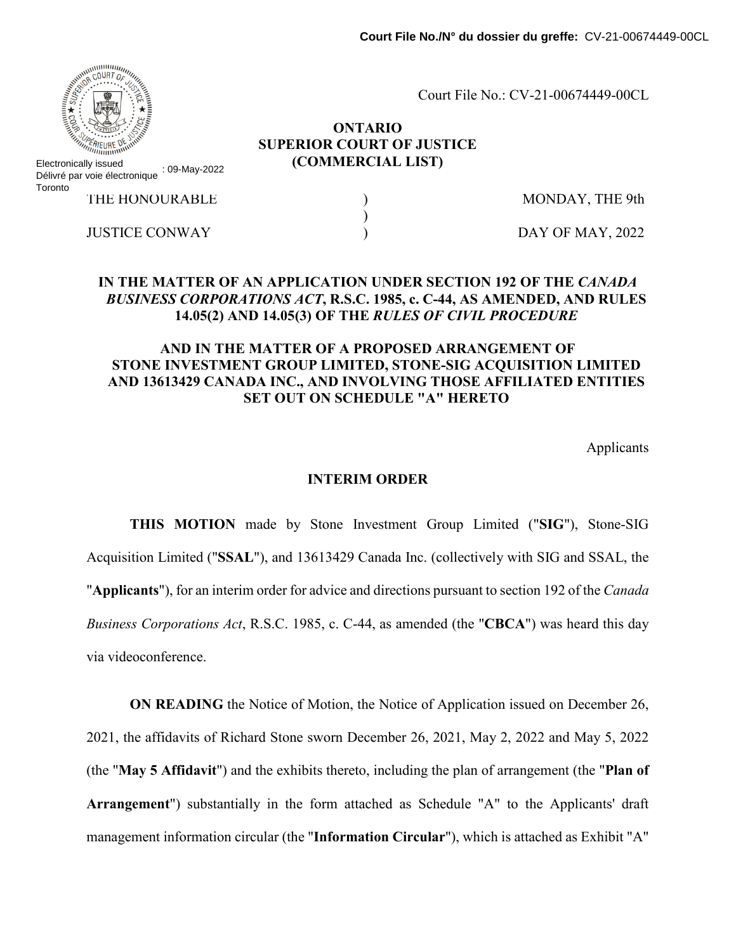Court File No.: CV-21-00674449-00CL

#### **ONTARIO SUPERIOR COURT OF JUSTICE (COMMERCIAL LIST)**

)

Electronically issued Délivré par voie électronique : 09-May-2022 **Toronto** 

THE HONOURABLE  $\qquad \qquad$  ) MONDAY, THE 9th

JUSTICE CONWAY 
and the set of the set of the DAY OF MAY, 2022

### **IN THE MATTER OF AN APPLICATION UNDER SECTION 192 OF THE** *CANADA BUSINESS CORPORATIONS ACT***, R.S.C. 1985, c. C-44, AS AMENDED, AND RULES 14.05(2) AND 14.05(3) OF THE** *RULES OF CIVIL PROCEDURE*

# **AND IN THE MATTER OF A PROPOSED ARRANGEMENT OF STONE INVESTMENT GROUP LIMITED, STONE-SIG ACQUISITION LIMITED AND 13613429 CANADA INC., AND INVOLVING THOSE AFFILIATED ENTITIES SET OUT ON SCHEDULE "A" HERETO**

Applicants

#### **INTERIM ORDER**

**THIS MOTION** made by Stone Investment Group Limited ("**SIG**"), Stone-SIG Acquisition Limited ("**SSAL**"), and 13613429 Canada Inc. (collectively with SIG and SSAL, the "**Applicants**"), for an interim order for advice and directions pursuant to section 192 of the *Canada Business Corporations Act*, R.S.C. 1985, c. C-44, as amended (the "**CBCA**") was heard this day via videoconference.

**ON READING** the Notice of Motion, the Notice of Application issued on December 26, 2021, the affidavits of Richard Stone sworn December 26, 2021, May 2, 2022 and May 5, 2022 (the "**May 5 Affidavit**") and the exhibits thereto, including the plan of arrangement (the "**Plan of Arrangement**") substantially in the form attached as Schedule "A" to the Applicants' draft management information circular (the "**Information Circular**"), which is attached as Exhibit "A"

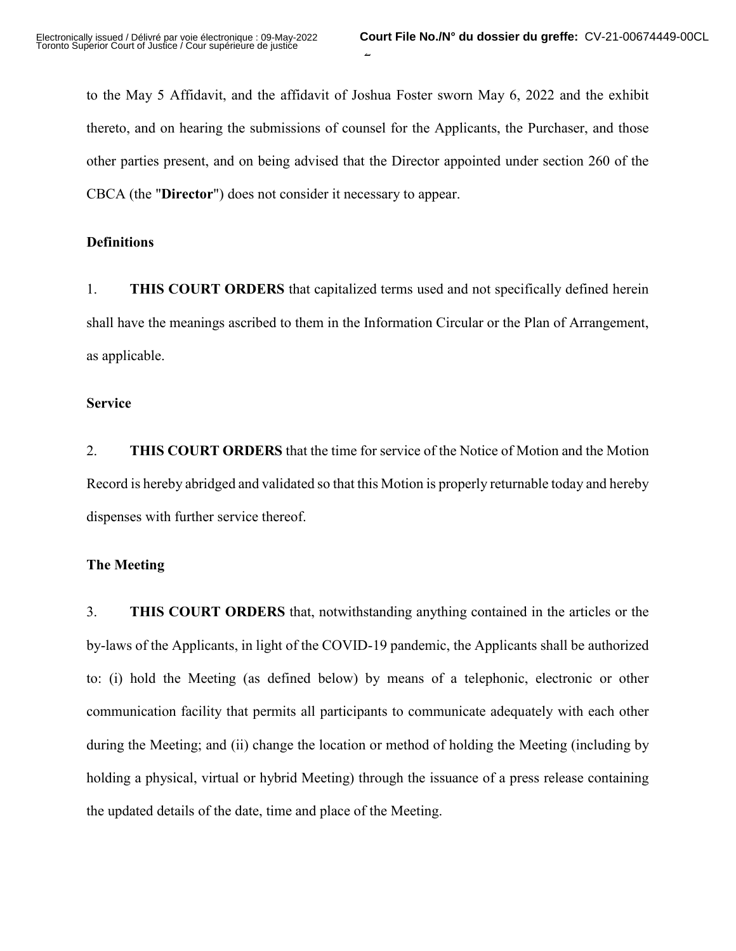to the May 5 Affidavit, and the affidavit of Joshua Foster sworn May 6, 2022 and the exhibit thereto, and on hearing the submissions of counsel for the Applicants, the Purchaser, and those other parties present, and on being advised that the Director appointed under section 260 of the CBCA (the "**Director**") does not consider it necessary to appear.

#### **Definitions**

1. **THIS COURT ORDERS** that capitalized terms used and not specifically defined herein shall have the meanings ascribed to them in the Information Circular or the Plan of Arrangement, as applicable.

#### **Service**

2. **THIS COURT ORDERS** that the time for service of the Notice of Motion and the Motion Record is hereby abridged and validated so that this Motion is properly returnable today and hereby dispenses with further service thereof.

### **The Meeting**

3. **THIS COURT ORDERS** that, notwithstanding anything contained in the articles or the by-laws of the Applicants, in light of the COVID-19 pandemic, the Applicants shall be authorized to: (i) hold the Meeting (as defined below) by means of a telephonic, electronic or other communication facility that permits all participants to communicate adequately with each other during the Meeting; and (ii) change the location or method of holding the Meeting (including by holding a physical, virtual or hybrid Meeting) through the issuance of a press release containing the updated details of the date, time and place of the Meeting.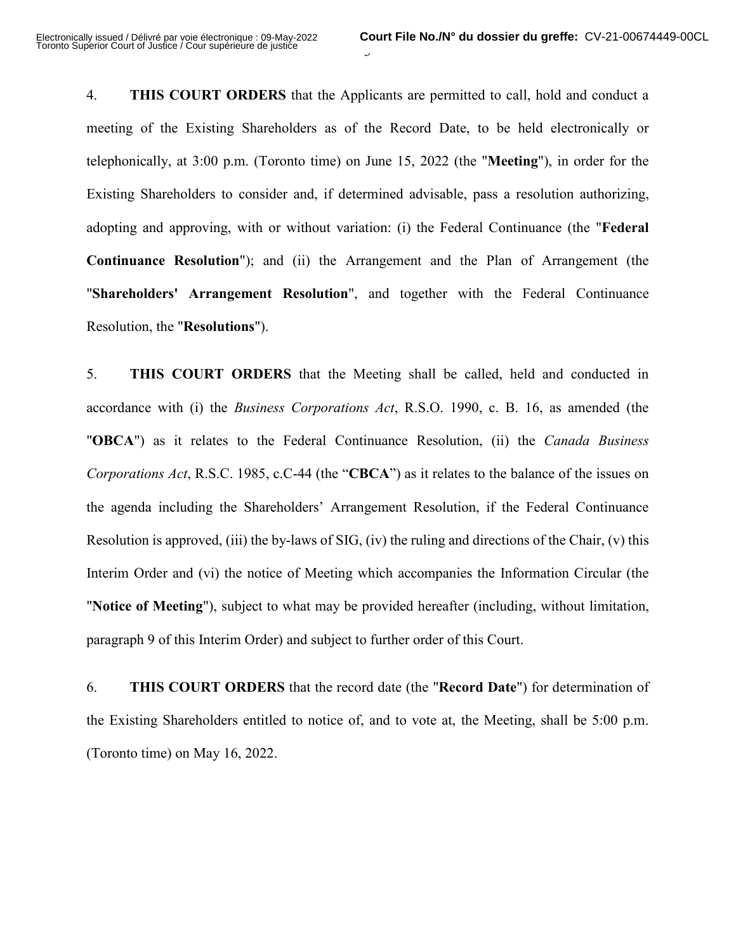4. **THIS COURT ORDERS** that the Applicants are permitted to call, hold and conduct a meeting of the Existing Shareholders as of the Record Date, to be held electronically or telephonically, at 3:00 p.m. (Toronto time) on June 15, 2022 (the "**Meeting**"), in order for the Existing Shareholders to consider and, if determined advisable, pass a resolution authorizing, adopting and approving, with or without variation: (i) the Federal Continuance (the "**Federal Continuance Resolution**"); and (ii) the Arrangement and the Plan of Arrangement (the "**Shareholders' Arrangement Resolution**", and together with the Federal Continuance Resolution, the "**Resolutions**").

 $\overline{a}$ 

5. **THIS COURT ORDERS** that the Meeting shall be called, held and conducted in accordance with (i) the *Business Corporations Act*, R.S.O. 1990, c. B. 16, as amended (the "**OBCA**") as it relates to the Federal Continuance Resolution, (ii) the *Canada Business Corporations Act*, R.S.C. 1985, c.C-44 (the "**CBCA**") as it relates to the balance of the issues on the agenda including the Shareholders' Arrangement Resolution, if the Federal Continuance Resolution is approved, (iii) the by-laws of SIG, (iv) the ruling and directions of the Chair, (v) this Interim Order and (vi) the notice of Meeting which accompanies the Information Circular (the "**Notice of Meeting**"), subject to what may be provided hereafter (including, without limitation, paragraph 9 of this Interim Order) and subject to further order of this Court.

6. **THIS COURT ORDERS** that the record date (the "**Record Date**") for determination of the Existing Shareholders entitled to notice of, and to vote at, the Meeting, shall be 5:00 p.m. (Toronto time) on May 16, 2022.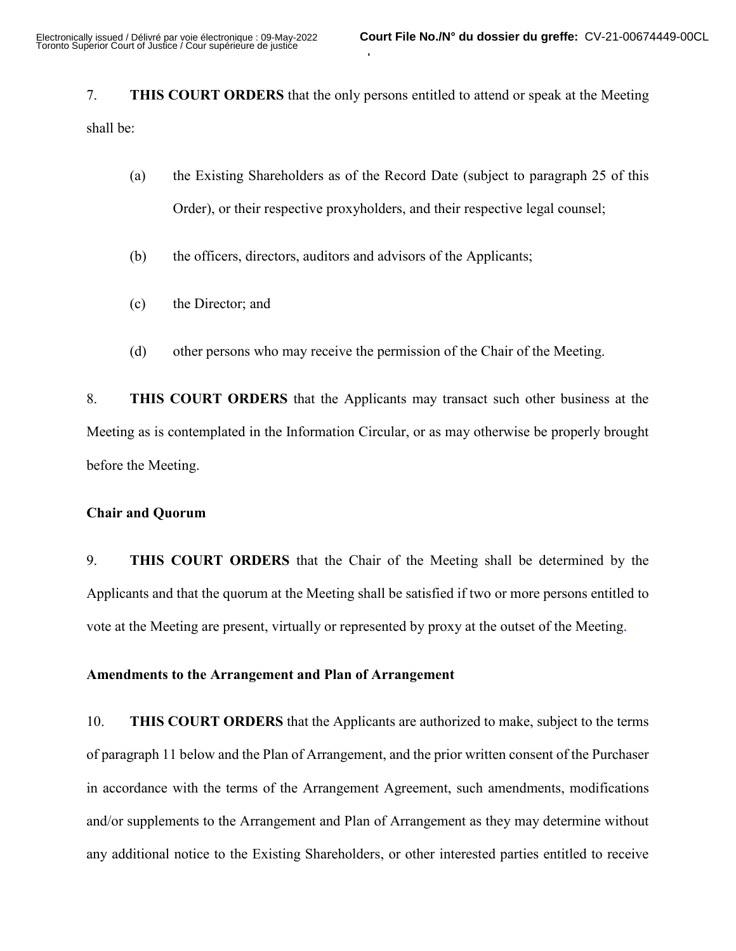7. **THIS COURT ORDERS** that the only persons entitled to attend or speak at the Meeting shall be:

 $\overline{1}$ 

- (a) the Existing Shareholders as of the Record Date (subject to paragraph 25 of this Order), or their respective proxyholders, and their respective legal counsel;
- (b) the officers, directors, auditors and advisors of the Applicants;
- (c) the Director; and
- (d) other persons who may receive the permission of the Chair of the Meeting.

8. **THIS COURT ORDERS** that the Applicants may transact such other business at the Meeting as is contemplated in the Information Circular, or as may otherwise be properly brought before the Meeting.

### **Chair and Quorum**

9. **THIS COURT ORDERS** that the Chair of the Meeting shall be determined by the Applicants and that the quorum at the Meeting shall be satisfied if two or more persons entitled to vote at the Meeting are present, virtually or represented by proxy at the outset of the Meeting.

#### **Amendments to the Arrangement and Plan of Arrangement**

10. **THIS COURT ORDERS** that the Applicants are authorized to make, subject to the terms of paragraph 11 below and the Plan of Arrangement, and the prior written consent of the Purchaser in accordance with the terms of the Arrangement Agreement, such amendments, modifications and/or supplements to the Arrangement and Plan of Arrangement as they may determine without any additional notice to the Existing Shareholders, or other interested parties entitled to receive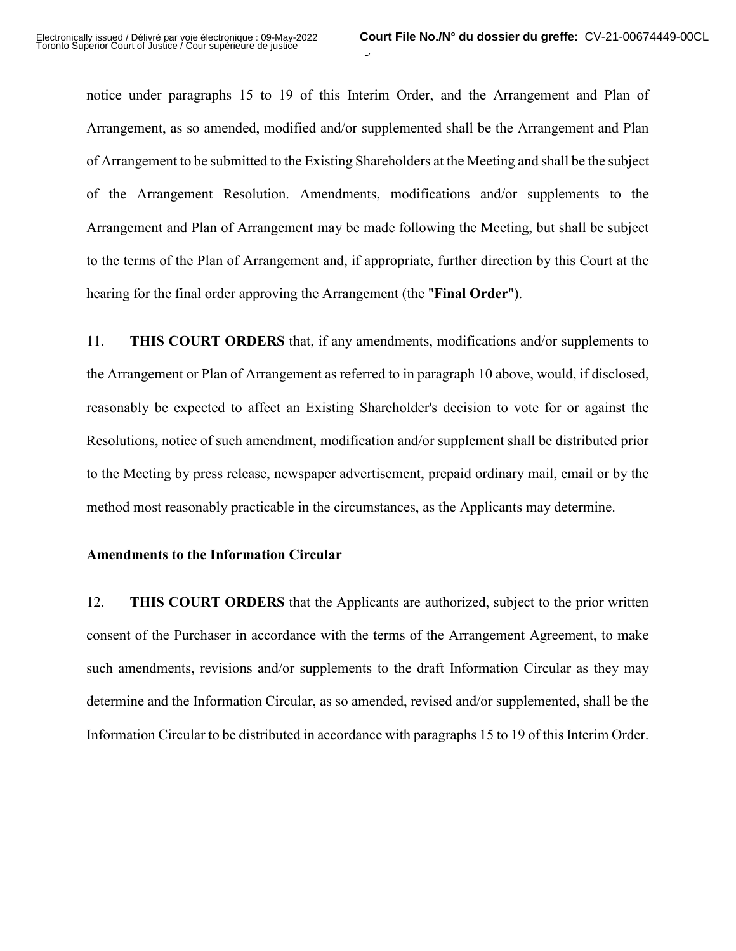notice under paragraphs 15 to 19 of this Interim Order, and the Arrangement and Plan of Arrangement, as so amended, modified and/or supplemented shall be the Arrangement and Plan of Arrangement to be submitted to the Existing Shareholders at the Meeting and shall be the subject of the Arrangement Resolution. Amendments, modifications and/or supplements to the Arrangement and Plan of Arrangement may be made following the Meeting, but shall be subject to the terms of the Plan of Arrangement and, if appropriate, further direction by this Court at the hearing for the final order approving the Arrangement (the "**Final Order**").

 $\overline{v}$ 

11. **THIS COURT ORDERS** that, if any amendments, modifications and/or supplements to the Arrangement or Plan of Arrangement as referred to in paragraph 10 above, would, if disclosed, reasonably be expected to affect an Existing Shareholder's decision to vote for or against the Resolutions, notice of such amendment, modification and/or supplement shall be distributed prior to the Meeting by press release, newspaper advertisement, prepaid ordinary mail, email or by the method most reasonably practicable in the circumstances, as the Applicants may determine.

#### **Amendments to the Information Circular**

12. **THIS COURT ORDERS** that the Applicants are authorized, subject to the prior written consent of the Purchaser in accordance with the terms of the Arrangement Agreement, to make such amendments, revisions and/or supplements to the draft Information Circular as they may determine and the Information Circular, as so amended, revised and/or supplemented, shall be the Information Circular to be distributed in accordance with paragraphs 15 to 19 of this Interim Order.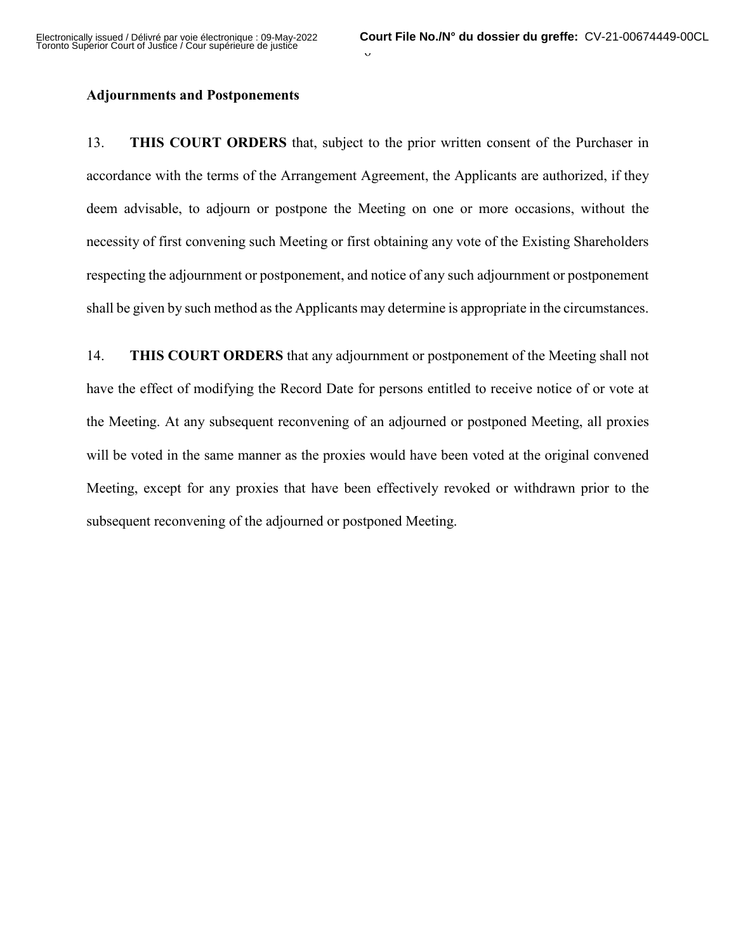#### **Adjournments and Postponements**

13. **THIS COURT ORDERS** that, subject to the prior written consent of the Purchaser in accordance with the terms of the Arrangement Agreement, the Applicants are authorized, if they deem advisable, to adjourn or postpone the Meeting on one or more occasions, without the necessity of first convening such Meeting or first obtaining any vote of the Existing Shareholders respecting the adjournment or postponement, and notice of any such adjournment or postponement shall be given by such method as the Applicants may determine is appropriate in the circumstances.

14. **THIS COURT ORDERS** that any adjournment or postponement of the Meeting shall not have the effect of modifying the Record Date for persons entitled to receive notice of or vote at the Meeting. At any subsequent reconvening of an adjourned or postponed Meeting, all proxies will be voted in the same manner as the proxies would have been voted at the original convened Meeting, except for any proxies that have been effectively revoked or withdrawn prior to the subsequent reconvening of the adjourned or postponed Meeting.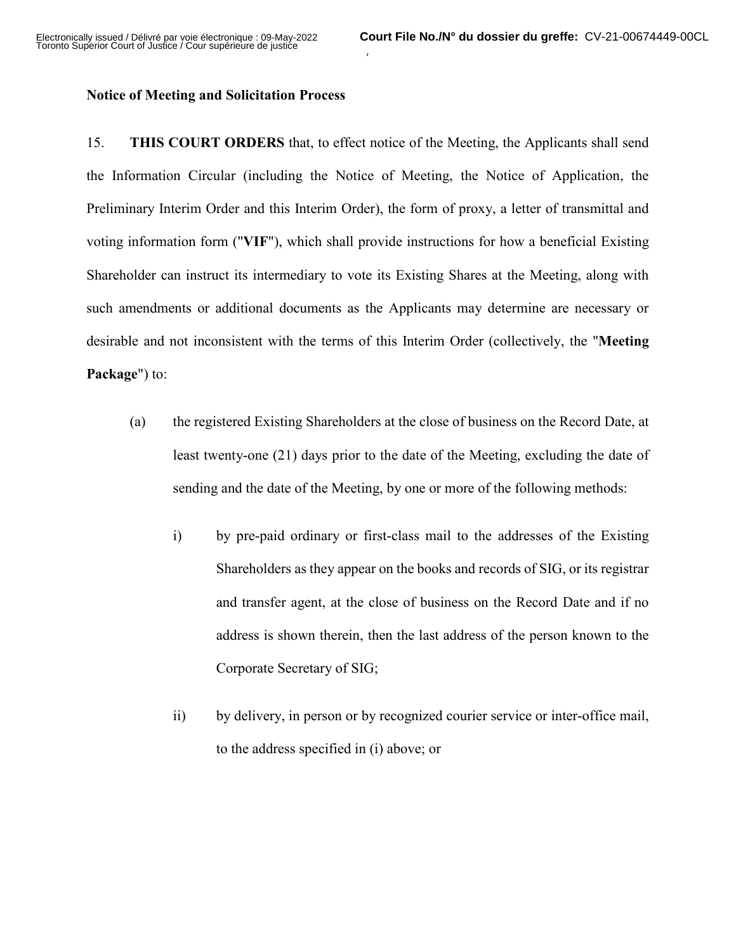#### **Notice of Meeting and Solicitation Process**

15. **THIS COURT ORDERS** that, to effect notice of the Meeting, the Applicants shall send the Information Circular (including the Notice of Meeting, the Notice of Application, the Preliminary Interim Order and this Interim Order), the form of proxy, a letter of transmittal and voting information form ("**VIF**"), which shall provide instructions for how a beneficial Existing Shareholder can instruct its intermediary to vote its Existing Shares at the Meeting, along with such amendments or additional documents as the Applicants may determine are necessary or desirable and not inconsistent with the terms of this Interim Order (collectively, the "**Meeting Package**") to:

 $\lambda$ 

- (a) the registered Existing Shareholders at the close of business on the Record Date, at least twenty-one (21) days prior to the date of the Meeting, excluding the date of sending and the date of the Meeting, by one or more of the following methods:
	- i) by pre-paid ordinary or first-class mail to the addresses of the Existing Shareholders as they appear on the books and records of SIG, or its registrar and transfer agent, at the close of business on the Record Date and if no address is shown therein, then the last address of the person known to the Corporate Secretary of SIG;
	- ii) by delivery, in person or by recognized courier service or inter-office mail, to the address specified in (i) above; or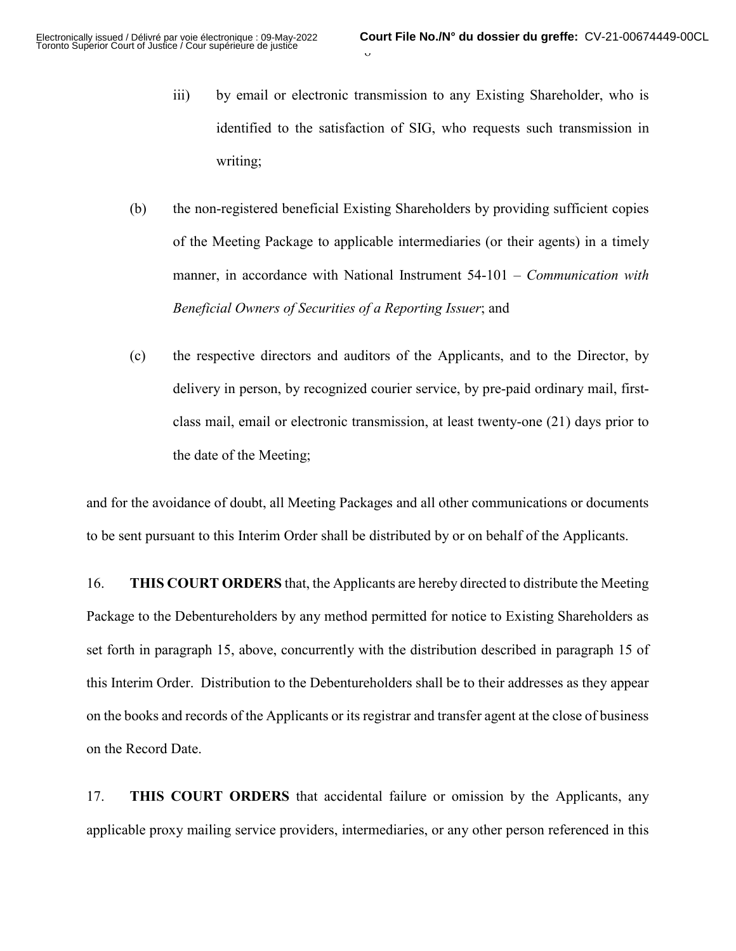- iii) by email or electronic transmission to any Existing Shareholder, who is identified to the satisfaction of SIG, who requests such transmission in writing;
- (b) the non-registered beneficial Existing Shareholders by providing sufficient copies of the Meeting Package to applicable intermediaries (or their agents) in a timely manner, in accordance with National Instrument 54-101 – *Communication with Beneficial Owners of Securities of a Reporting Issuer*; and
- (c) the respective directors and auditors of the Applicants, and to the Director, by delivery in person, by recognized courier service, by pre-paid ordinary mail, firstclass mail, email or electronic transmission, at least twenty-one (21) days prior to the date of the Meeting;

and for the avoidance of doubt, all Meeting Packages and all other communications or documents to be sent pursuant to this Interim Order shall be distributed by or on behalf of the Applicants.

16. **THIS COURT ORDERS** that, the Applicants are hereby directed to distribute the Meeting Package to the Debentureholders by any method permitted for notice to Existing Shareholders as set forth in paragraph 15, above, concurrently with the distribution described in paragraph 15 of this Interim Order. Distribution to the Debentureholders shall be to their addresses as they appear on the books and records of the Applicants or its registrar and transfer agent at the close of business on the Record Date.

17. **THIS COURT ORDERS** that accidental failure or omission by the Applicants, any applicable proxy mailing service providers, intermediaries, or any other person referenced in this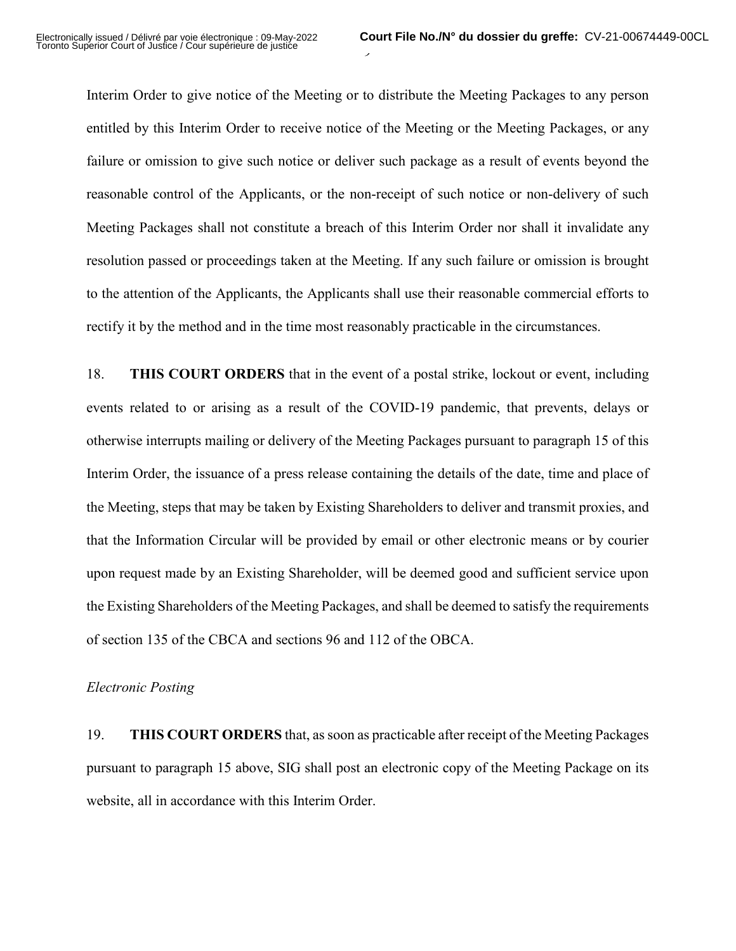Interim Order to give notice of the Meeting or to distribute the Meeting Packages to any person entitled by this Interim Order to receive notice of the Meeting or the Meeting Packages, or any failure or omission to give such notice or deliver such package as a result of events beyond the reasonable control of the Applicants, or the non-receipt of such notice or non-delivery of such Meeting Packages shall not constitute a breach of this Interim Order nor shall it invalidate any resolution passed or proceedings taken at the Meeting. If any such failure or omission is brought to the attention of the Applicants, the Applicants shall use their reasonable commercial efforts to rectify it by the method and in the time most reasonably practicable in the circumstances.

 $\overline{\phantom{a}}$ 

18. **THIS COURT ORDERS** that in the event of a postal strike, lockout or event, including events related to or arising as a result of the COVID-19 pandemic, that prevents, delays or otherwise interrupts mailing or delivery of the Meeting Packages pursuant to paragraph 15 of this Interim Order, the issuance of a press release containing the details of the date, time and place of the Meeting, steps that may be taken by Existing Shareholders to deliver and transmit proxies, and that the Information Circular will be provided by email or other electronic means or by courier upon request made by an Existing Shareholder, will be deemed good and sufficient service upon the Existing Shareholders of the Meeting Packages, and shall be deemed to satisfy the requirements of section 135 of the CBCA and sections 96 and 112 of the OBCA.

#### *Electronic Posting*

19. **THIS COURT ORDERS** that, as soon as practicable after receipt of the Meeting Packages pursuant to paragraph 15 above, SIG shall post an electronic copy of the Meeting Package on its website, all in accordance with this Interim Order.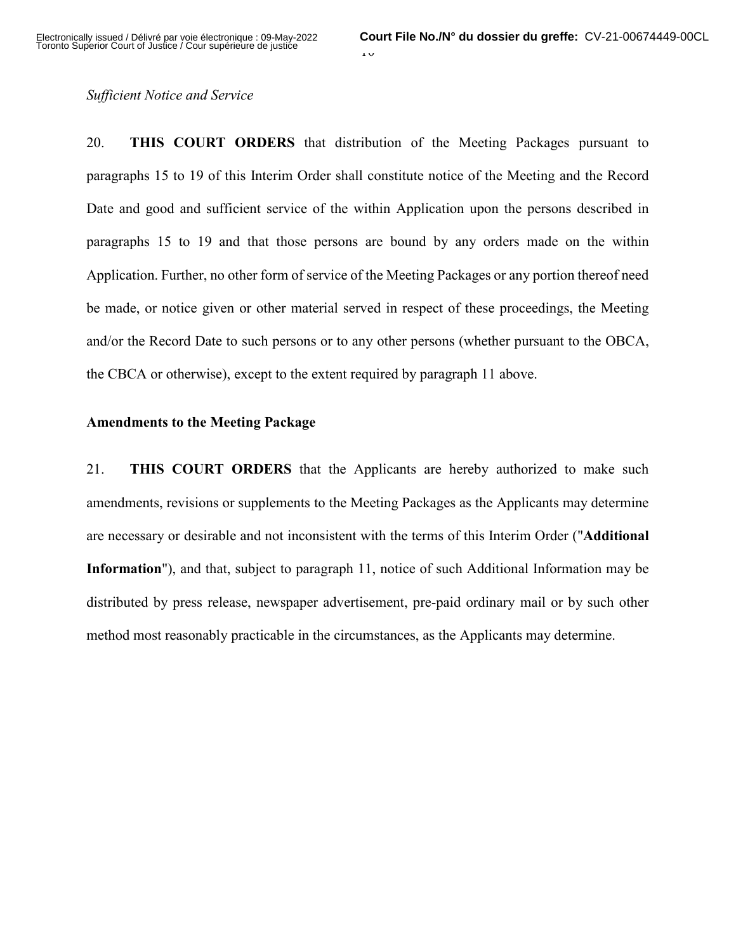#### *Sufficient Notice and Service*

20. **THIS COURT ORDERS** that distribution of the Meeting Packages pursuant to paragraphs 15 to 19 of this Interim Order shall constitute notice of the Meeting and the Record Date and good and sufficient service of the within Application upon the persons described in paragraphs 15 to 19 and that those persons are bound by any orders made on the within Application. Further, no other form of service of the Meeting Packages or any portion thereof need be made, or notice given or other material served in respect of these proceedings, the Meeting and/or the Record Date to such persons or to any other persons (whether pursuant to the OBCA, the CBCA or otherwise), except to the extent required by paragraph 11 above.

#### **Amendments to the Meeting Package**

21. **THIS COURT ORDERS** that the Applicants are hereby authorized to make such amendments, revisions or supplements to the Meeting Packages as the Applicants may determine are necessary or desirable and not inconsistent with the terms of this Interim Order ("**Additional Information**"), and that, subject to paragraph 11, notice of such Additional Information may be distributed by press release, newspaper advertisement, pre-paid ordinary mail or by such other method most reasonably practicable in the circumstances, as the Applicants may determine.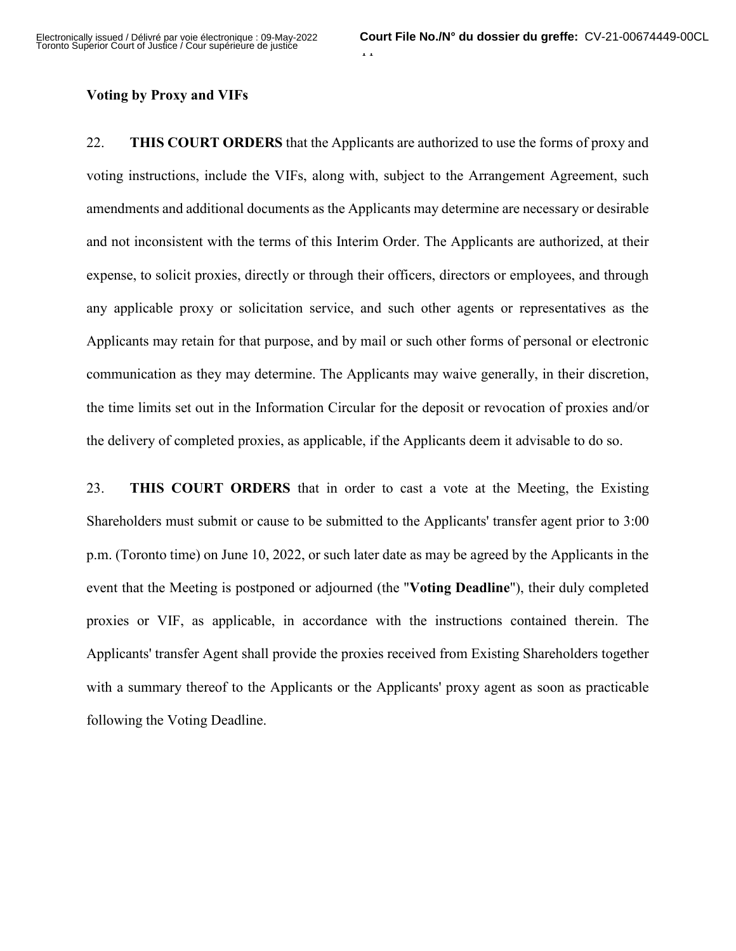### **Voting by Proxy and VIFs**

22. **THIS COURT ORDERS** that the Applicants are authorized to use the forms of proxy and voting instructions, include the VIFs, along with, subject to the Arrangement Agreement, such amendments and additional documents as the Applicants may determine are necessary or desirable and not inconsistent with the terms of this Interim Order. The Applicants are authorized, at their expense, to solicit proxies, directly or through their officers, directors or employees, and through any applicable proxy or solicitation service, and such other agents or representatives as the Applicants may retain for that purpose, and by mail or such other forms of personal or electronic communication as they may determine. The Applicants may waive generally, in their discretion, the time limits set out in the Information Circular for the deposit or revocation of proxies and/or the delivery of completed proxies, as applicable, if the Applicants deem it advisable to do so.

23. **THIS COURT ORDERS** that in order to cast a vote at the Meeting, the Existing Shareholders must submit or cause to be submitted to the Applicants' transfer agent prior to 3:00 p.m. (Toronto time) on June 10, 2022, or such later date as may be agreed by the Applicants in the event that the Meeting is postponed or adjourned (the "**Voting Deadline**"), their duly completed proxies or VIF, as applicable, in accordance with the instructions contained therein. The Applicants' transfer Agent shall provide the proxies received from Existing Shareholders together with a summary thereof to the Applicants or the Applicants' proxy agent as soon as practicable following the Voting Deadline.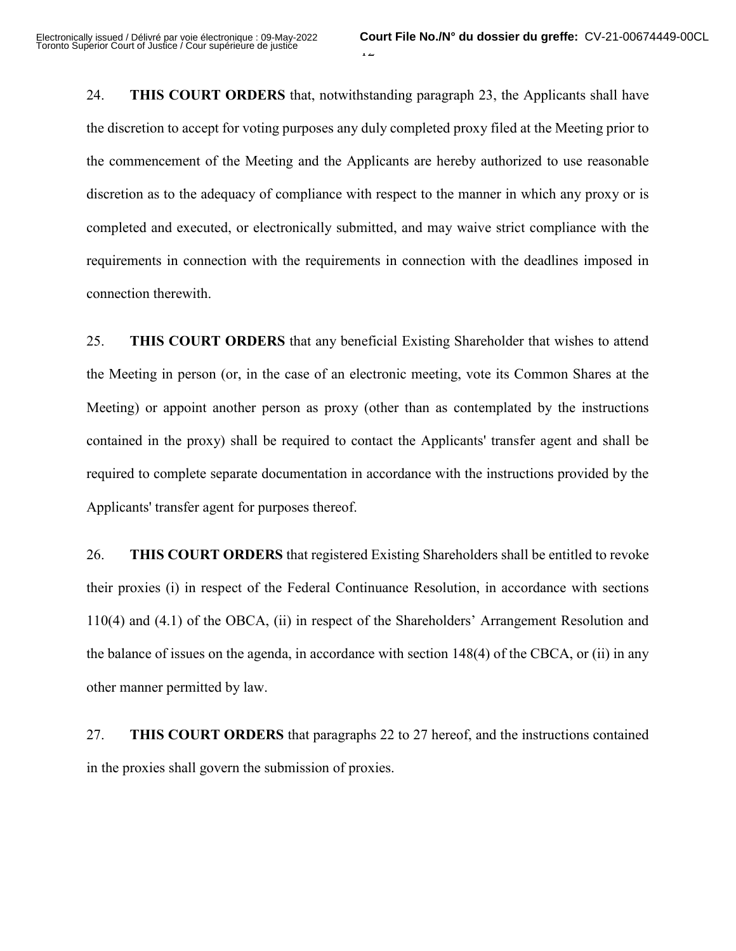24. **THIS COURT ORDERS** that, notwithstanding paragraph 23, the Applicants shall have the discretion to accept for voting purposes any duly completed proxy filed at the Meeting prior to the commencement of the Meeting and the Applicants are hereby authorized to use reasonable discretion as to the adequacy of compliance with respect to the manner in which any proxy or is completed and executed, or electronically submitted, and may waive strict compliance with the requirements in connection with the requirements in connection with the deadlines imposed in connection therewith.

25. **THIS COURT ORDERS** that any beneficial Existing Shareholder that wishes to attend the Meeting in person (or, in the case of an electronic meeting, vote its Common Shares at the Meeting) or appoint another person as proxy (other than as contemplated by the instructions contained in the proxy) shall be required to contact the Applicants' transfer agent and shall be required to complete separate documentation in accordance with the instructions provided by the Applicants' transfer agent for purposes thereof.

26. **THIS COURT ORDERS** that registered Existing Shareholders shall be entitled to revoke their proxies (i) in respect of the Federal Continuance Resolution, in accordance with sections 110(4) and (4.1) of the OBCA, (ii) in respect of the Shareholders' Arrangement Resolution and the balance of issues on the agenda, in accordance with section 148(4) of the CBCA, or (ii) in any other manner permitted by law.

27. **THIS COURT ORDERS** that paragraphs 22 to 27 hereof, and the instructions contained in the proxies shall govern the submission of proxies.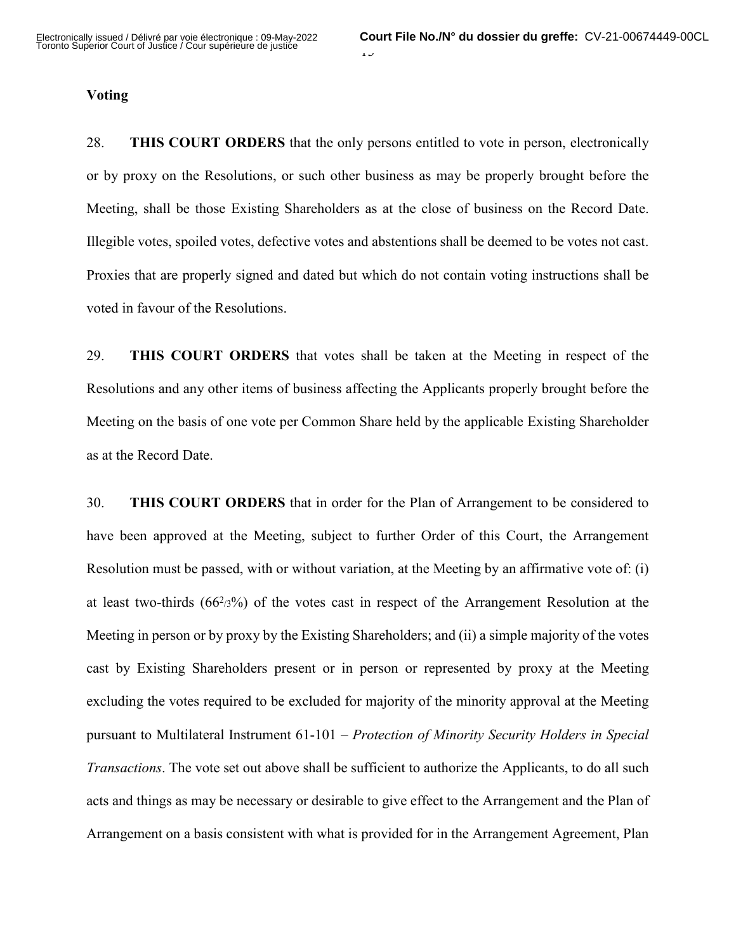#### **Voting**

28. **THIS COURT ORDERS** that the only persons entitled to vote in person, electronically or by proxy on the Resolutions, or such other business as may be properly brought before the Meeting, shall be those Existing Shareholders as at the close of business on the Record Date. Illegible votes, spoiled votes, defective votes and abstentions shall be deemed to be votes not cast. Proxies that are properly signed and dated but which do not contain voting instructions shall be voted in favour of the Resolutions.

29. **THIS COURT ORDERS** that votes shall be taken at the Meeting in respect of the Resolutions and any other items of business affecting the Applicants properly brought before the Meeting on the basis of one vote per Common Share held by the applicable Existing Shareholder as at the Record Date.

30. **THIS COURT ORDERS** that in order for the Plan of Arrangement to be considered to have been approved at the Meeting, subject to further Order of this Court, the Arrangement Resolution must be passed, with or without variation, at the Meeting by an affirmative vote of: (i) at least two-thirds  $(66^{2/3})$  of the votes cast in respect of the Arrangement Resolution at the Meeting in person or by proxy by the Existing Shareholders; and (ii) a simple majority of the votes cast by Existing Shareholders present or in person or represented by proxy at the Meeting excluding the votes required to be excluded for majority of the minority approval at the Meeting pursuant to Multilateral Instrument 61-101 – *Protection of Minority Security Holders in Special Transactions*. The vote set out above shall be sufficient to authorize the Applicants, to do all such acts and things as may be necessary or desirable to give effect to the Arrangement and the Plan of Arrangement on a basis consistent with what is provided for in the Arrangement Agreement, Plan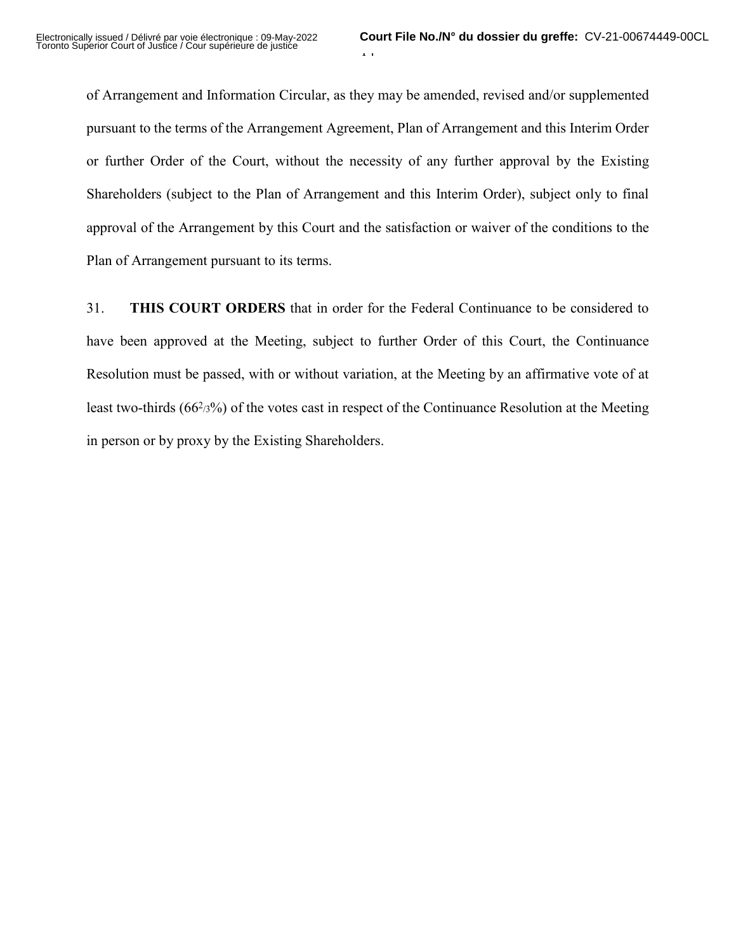of Arrangement and Information Circular, as they may be amended, revised and/or supplemented pursuant to the terms of the Arrangement Agreement, Plan of Arrangement and this Interim Order or further Order of the Court, without the necessity of any further approval by the Existing Shareholders (subject to the Plan of Arrangement and this Interim Order), subject only to final approval of the Arrangement by this Court and the satisfaction or waiver of the conditions to the Plan of Arrangement pursuant to its terms.

31. **THIS COURT ORDERS** that in order for the Federal Continuance to be considered to have been approved at the Meeting, subject to further Order of this Court, the Continuance Resolution must be passed, with or without variation, at the Meeting by an affirmative vote of at least two-thirds (662/3%) of the votes cast in respect of the Continuance Resolution at the Meeting in person or by proxy by the Existing Shareholders.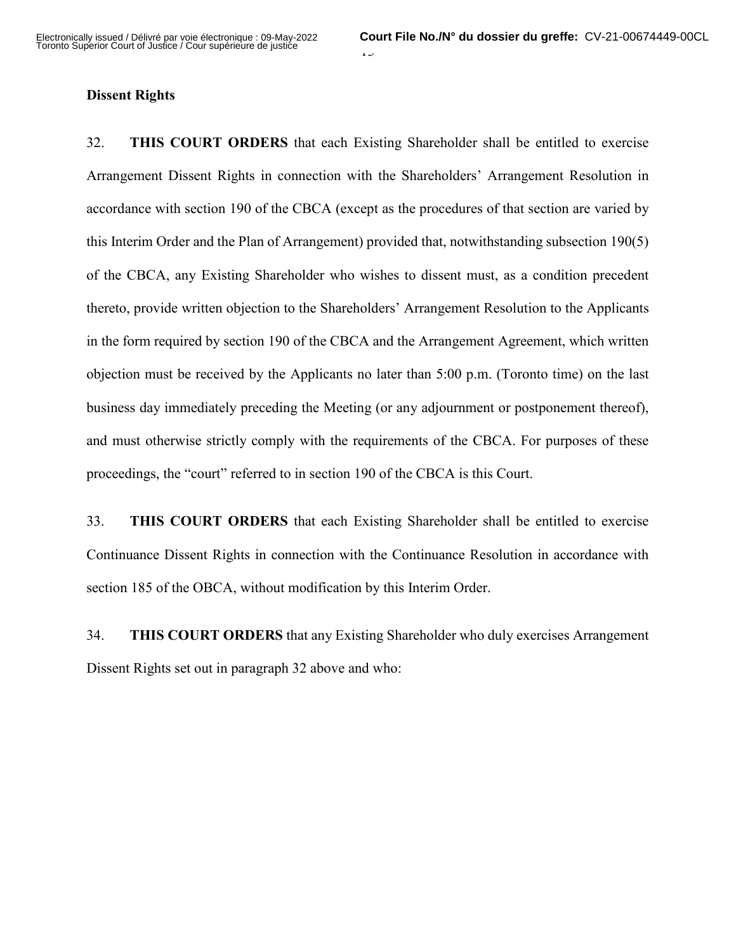### **Dissent Rights**

32. **THIS COURT ORDERS** that each Existing Shareholder shall be entitled to exercise Arrangement Dissent Rights in connection with the Shareholders' Arrangement Resolution in accordance with section 190 of the CBCA (except as the procedures of that section are varied by this Interim Order and the Plan of Arrangement) provided that, notwithstanding subsection 190(5) of the CBCA, any Existing Shareholder who wishes to dissent must, as a condition precedent thereto, provide written objection to the Shareholders' Arrangement Resolution to the Applicants in the form required by section 190 of the CBCA and the Arrangement Agreement, which written objection must be received by the Applicants no later than 5:00 p.m. (Toronto time) on the last business day immediately preceding the Meeting (or any adjournment or postponement thereof), and must otherwise strictly comply with the requirements of the CBCA. For purposes of these proceedings, the "court" referred to in section 190 of the CBCA is this Court.

33. **THIS COURT ORDERS** that each Existing Shareholder shall be entitled to exercise Continuance Dissent Rights in connection with the Continuance Resolution in accordance with section 185 of the OBCA, without modification by this Interim Order.

34. **THIS COURT ORDERS** that any Existing Shareholder who duly exercises Arrangement Dissent Rights set out in paragraph 32 above and who: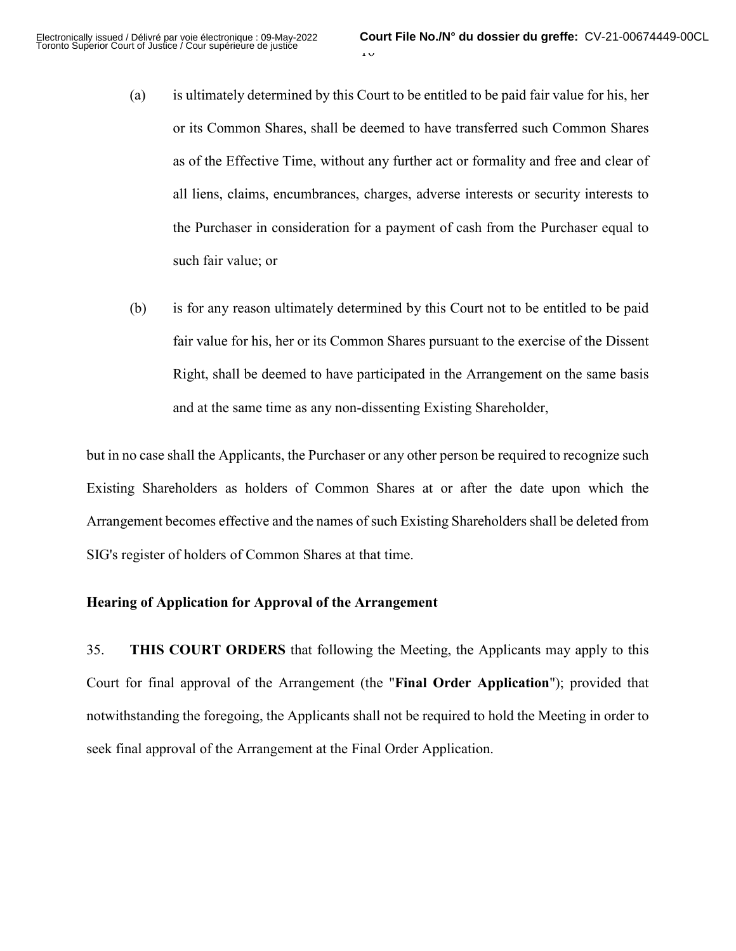- (a) is ultimately determined by this Court to be entitled to be paid fair value for his, her or its Common Shares, shall be deemed to have transferred such Common Shares as of the Effective Time, without any further act or formality and free and clear of all liens, claims, encumbrances, charges, adverse interests or security interests to the Purchaser in consideration for a payment of cash from the Purchaser equal to such fair value; or
- (b) is for any reason ultimately determined by this Court not to be entitled to be paid fair value for his, her or its Common Shares pursuant to the exercise of the Dissent Right, shall be deemed to have participated in the Arrangement on the same basis and at the same time as any non-dissenting Existing Shareholder,

but in no case shall the Applicants, the Purchaser or any other person be required to recognize such Existing Shareholders as holders of Common Shares at or after the date upon which the Arrangement becomes effective and the names of such Existing Shareholders shall be deleted from SIG's register of holders of Common Shares at that time.

#### **Hearing of Application for Approval of the Arrangement**

35. **THIS COURT ORDERS** that following the Meeting, the Applicants may apply to this Court for final approval of the Arrangement (the "**Final Order Application**"); provided that notwithstanding the foregoing, the Applicants shall not be required to hold the Meeting in order to seek final approval of the Arrangement at the Final Order Application.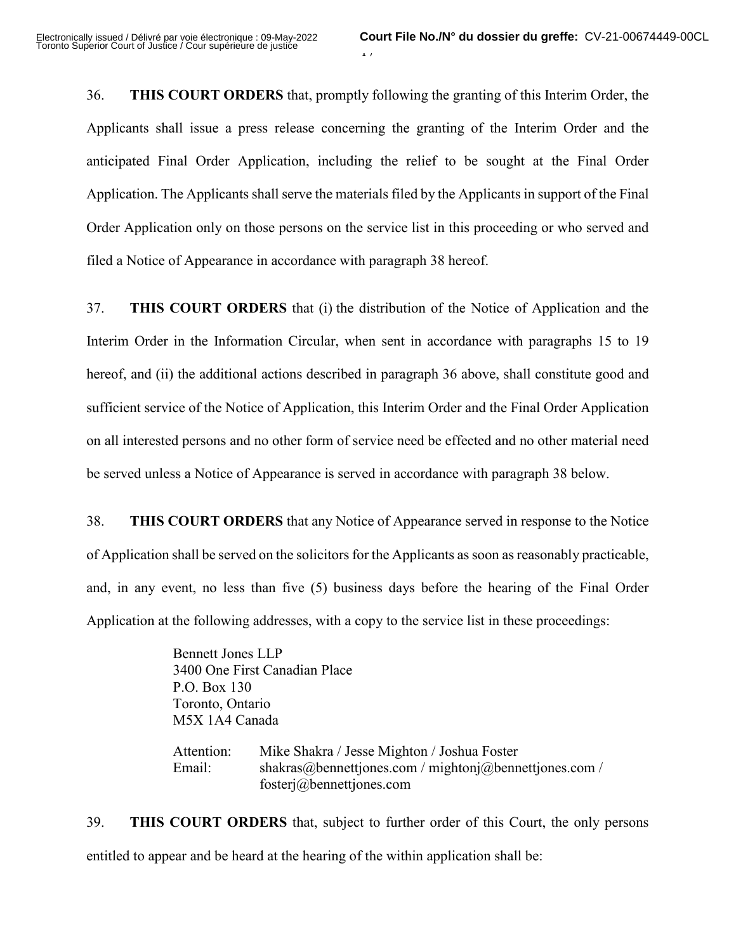36. **THIS COURT ORDERS** that, promptly following the granting of this Interim Order, the Applicants shall issue a press release concerning the granting of the Interim Order and the anticipated Final Order Application, including the relief to be sought at the Final Order Application. The Applicants shall serve the materials filed by the Applicants in support of the Final Order Application only on those persons on the service list in this proceeding or who served and filed a Notice of Appearance in accordance with paragraph 38 hereof.

37. **THIS COURT ORDERS** that (i) the distribution of the Notice of Application and the Interim Order in the Information Circular, when sent in accordance with paragraphs 15 to 19 hereof, and (ii) the additional actions described in paragraph 36 above, shall constitute good and sufficient service of the Notice of Application, this Interim Order and the Final Order Application on all interested persons and no other form of service need be effected and no other material need be served unless a Notice of Appearance is served in accordance with paragraph 38 below.

38. **THIS COURT ORDERS** that any Notice of Appearance served in response to the Notice of Application shall be served on the solicitors for the Applicants as soon as reasonably practicable, and, in any event, no less than five (5) business days before the hearing of the Final Order Application at the following addresses, with a copy to the service list in these proceedings:

> Bennett Jones LLP 3400 One First Canadian Place P.O. Box 130 Toronto, Ontario M5X 1A4 Canada

Attention: Mike Shakra / Jesse Mighton / Joshua Foster Email: shakras@bennettjones.com / mightonj@bennettjones.com / fosterj@bennettjones.com

39. **THIS COURT ORDERS** that, subject to further order of this Court, the only persons entitled to appear and be heard at the hearing of the within application shall be: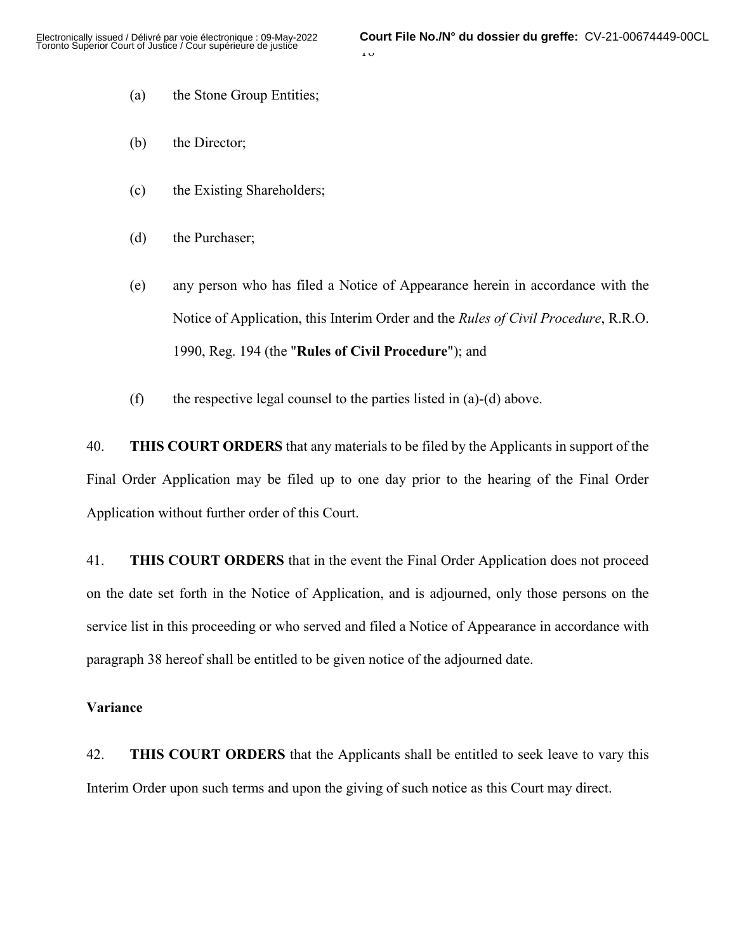- (a) the Stone Group Entities;
- (b) the Director;
- (c) the Existing Shareholders;
- (d) the Purchaser;
- (e) any person who has filed a Notice of Appearance herein in accordance with the Notice of Application, this Interim Order and the *Rules of Civil Procedure*, R.R.O. 1990, Reg. 194 (the "**Rules of Civil Procedure**"); and
- (f) the respective legal counsel to the parties listed in  $(a)-(d)$  above.

40. **THIS COURT ORDERS** that any materials to be filed by the Applicants in support of the Final Order Application may be filed up to one day prior to the hearing of the Final Order Application without further order of this Court.

41. **THIS COURT ORDERS** that in the event the Final Order Application does not proceed on the date set forth in the Notice of Application, and is adjourned, only those persons on the service list in this proceeding or who served and filed a Notice of Appearance in accordance with paragraph 38 hereof shall be entitled to be given notice of the adjourned date.

#### **Variance**

42. **THIS COURT ORDERS** that the Applicants shall be entitled to seek leave to vary this Interim Order upon such terms and upon the giving of such notice as this Court may direct.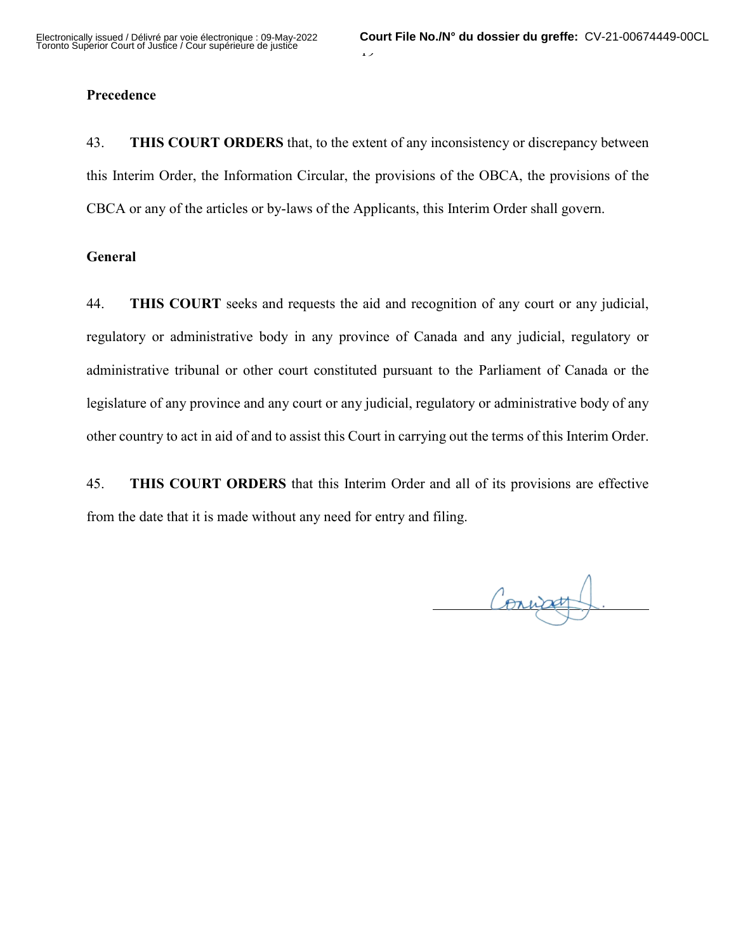### **Precedence**

43. **THIS COURT ORDERS** that, to the extent of any inconsistency or discrepancy between this Interim Order, the Information Circular, the provisions of the OBCA, the provisions of the CBCA or any of the articles or by-laws of the Applicants, this Interim Order shall govern.

#### **General**

44. **THIS COURT** seeks and requests the aid and recognition of any court or any judicial, regulatory or administrative body in any province of Canada and any judicial, regulatory or administrative tribunal or other court constituted pursuant to the Parliament of Canada or the legislature of any province and any court or any judicial, regulatory or administrative body of any other country to act in aid of and to assist this Court in carrying out the terms of this Interim Order.

45. **THIS COURT ORDERS** that this Interim Order and all of its provisions are effective from the date that it is made without any need for entry and filing.

Convant  $\overline{a}$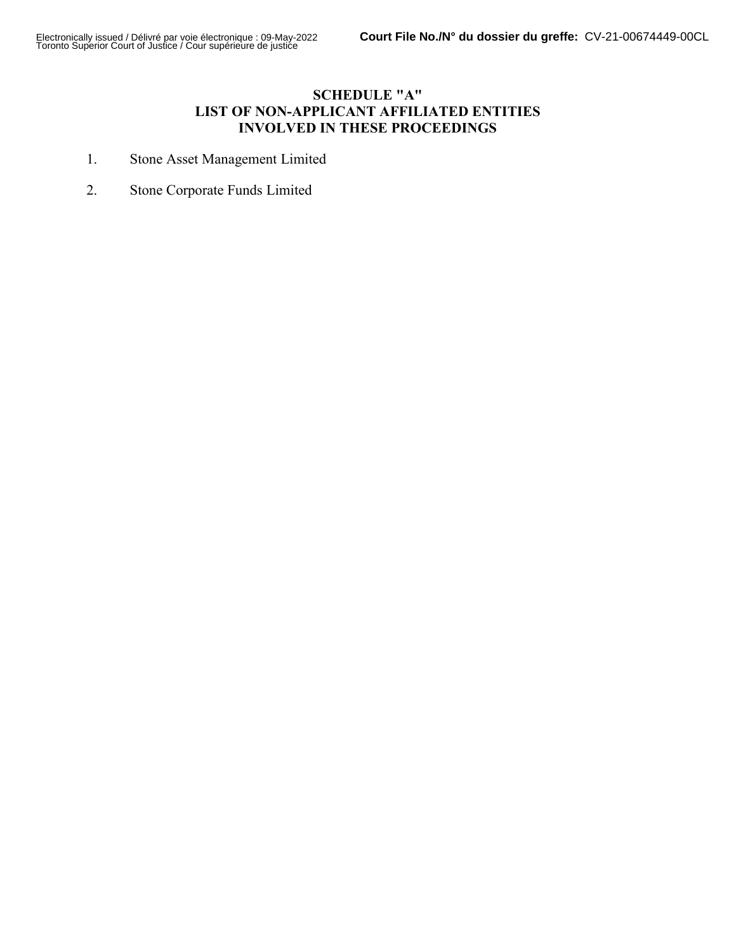### **SCHEDULE "A" LIST OF NON-APPLICANT AFFILIATED ENTITIES INVOLVED IN THESE PROCEEDINGS**

- 1. Stone Asset Management Limited
- 2. Stone Corporate Funds Limited